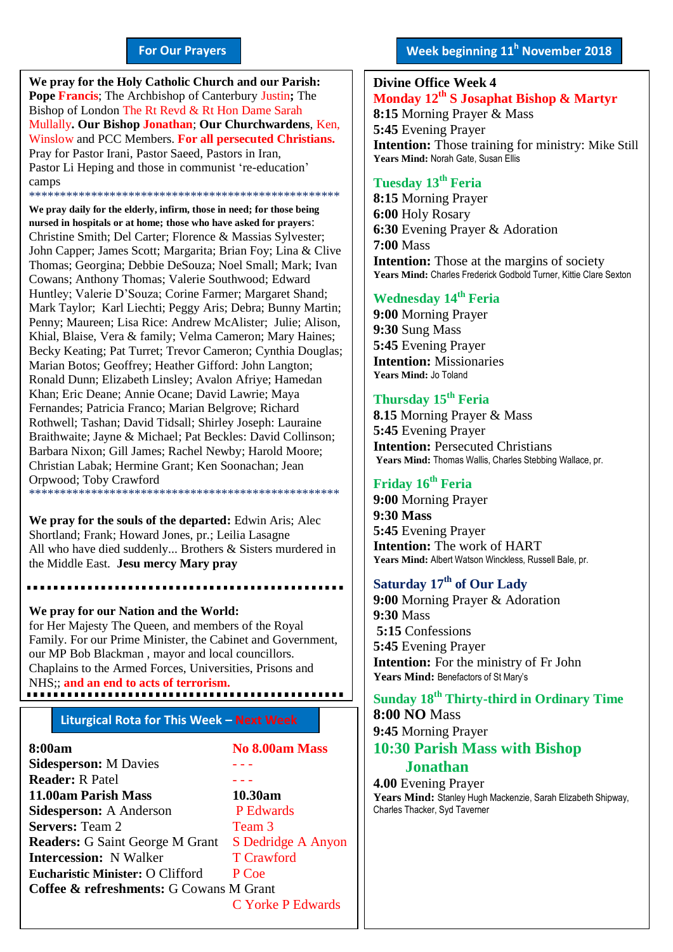#### **For Our Prayers**

arted Mullally**. Our Bishop Jonathan**; **Our Churchwardens**, Ken, **We pray for the Holy Catholic Church and our Parish: Pope Francis**; The Archbishop of Canterbury Justin**;** The Bishop of London The Rt Revd & Rt Hon Dame Sarah Winslow and PCC Members. **For all persecuted Christians.** Pray for Pastor Irani, Pastor Saeed, Pastors in Iran, Pastor Li Heping and those in communist 're-education' camps \*\*\*\*\*\*\*\*\*\*\*\*\*\*\*\*\*\*\*\*\*\*\*\*\*\*\*\*\*\*\*\*\*\*\*\*\*\*\*\*\*\*\*\*\*\*\*\*\*\*

**We pray daily for the elderly, infirm, those in need; for those being nursed in hospitals or at home; those who have asked for prayers**: Christine Smith; Del Carter; Florence & Massias Sylvester; John Capper; James Scott; Margarita; Brian Foy; Lina & Clive Thomas; Georgina; Debbie DeSouza; Noel Small; Mark; Ivan Cowans; Anthony Thomas; Valerie Southwood; Edward Huntley; Valerie D'Souza; Corine Farmer; Margaret Shand; Mark Taylor; Karl Liechti; Peggy Aris; Debra; Bunny Martin; Penny; Maureen; Lisa Rice: Andrew McAlister; Julie; Alison, Khial, Blaise, Vera & family; Velma Cameron; Mary Haines; Becky Keating; Pat Turret; Trevor Cameron; Cynthia Douglas; Marian Botos; Geoffrey; Heather Gifford: John Langton; Ronald Dunn; Elizabeth Linsley; Avalon Afriye; Hamedan Khan; Eric Deane; Annie Ocane; David Lawrie; Maya Fernandes; Patricia Franco; Marian Belgrove; Richard Rothwell; Tashan; David Tidsall; Shirley Joseph: Lauraine Braithwaite; Jayne & Michael; Pat Beckles: David Collinson; Barbara Nixon; Gill James; Rachel Newby; Harold Moore; Christian Labak; Hermine Grant; Ken Soonachan; Jean Orpwood; Toby Crawford \*\*\*\*\*\*\*\*\*\*\*\*\*\*\*\*\*\*\*\*\*\*\*\*\*\*\*\*\*\*\*\*\*\*\*\*\*\*\*\*\*\*\*\*\*\*\*\*\*\*

**We pray for the souls of the departed:** Edwin Aris; Alec Shortland; Frank; Howard Jones, pr.; Leilia Lasagne All who have died suddenly... Brothers & Sisters murdered in the Middle East. **Jesu mercy Mary pray**

**We pray for our Nation and the World:** for Her Majesty The Queen, and members of the Royal Family. For our Prime Minister, the Cabinet and Government, our MP Bob Blackman , mayor and local councillors. Chaplains to the Armed Forces, Universities, Prisons and NHS;; **and an end to acts of terrorism.**

#### **Liturgical Rota for This Week – Next Week**

**8:00am No 8.00am Mass Sidesperson:** M Davies **Reader:** R Patel **- - -11.00am Parish Mass 10.30am Sidesperson:** A Anderson P Edwards **Servers:** Team 2 Team 3 **Readers:** G Saint George M Grant S Dedridge A Anyon **Intercession:** N Walker T Crawford **Eucharistic Minister:** O Clifford P Coe **Coffee & refreshments:** G Cowans M Grant C Yorke P Edwards

#### **Divine Office Week 4 Monday 12th S Josaphat Bishop & Martyr 8:15** Morning Prayer & Mass

**5:45** Evening Prayer **Intention:** Those training for ministry: Mike Still Years Mind: Norah Gate, Susan Ellis

# **Tuesday 13th Feria**

**8:15** Morning Prayer **6:00** Holy Rosary **6:30** Evening Prayer & Adoration **7:00** Mass **Intention:** Those at the margins of society **Years Mind:** Charles Frederick Godbold Turner, Kittie Clare Sexton

## **Wednesday 14th Feria**

**9:00** Morning Prayer **9:30** Sung Mass **5:45** Evening Prayer **Intention:** Missionaries **Years Mind:** Jo Toland

### **Thursday 15th Feria**

**8.15** Morning Prayer & Mass **5:45** Evening Prayer **Intention:** Persecuted Christians **Years Mind:** Thomas Wallis, Charles Stebbing Wallace, pr.

#### **Friday 16th Feria**

**9:00** Morning Prayer **9:30 Mass 5:45** Evening Prayer **Intention:** The work of HART **Years Mind:** Albert Watson Winckless, Russell Bale, pr.

# **Saturday 17th of Our Lady**

**9:00** Morning Prayer & Adoration **9:30** Mass **5:15** Confessions **5:45** Evening Prayer **Intention:** For the ministry of Fr John Years Mind: Benefactors of St Mary's

**Sunday 18th Thirty-third in Ordinary Time 8:00 NO** Mass **9:45** Morning Prayer **10:30 Parish Mass with Bishop** 

### **Jonathan**

**4.00** Evening Prayer **Years Mind:** Stanley Hugh Mackenzie, Sarah Elizabeth Shipway, Charles Thacker, Syd Taverner